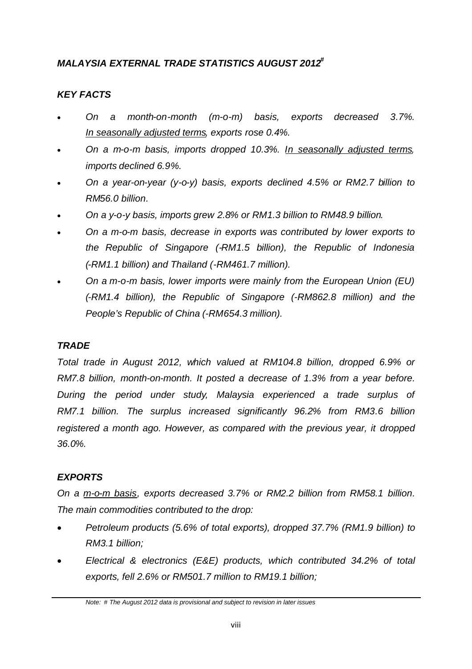# *MALAYSIA EXTERNAL TRADE STATISTICS AUGUST 2012 #*

# *KEY FACTS*

- *On a month-on-month (m-o-m) basis, exports decreased 3.7%. In seasonally adjusted terms, exports rose 0.4%.*
- *On a m-o-m basis, imports dropped 10.3%. In seasonally adjusted terms, imports declined 6.9%.*
- *On a year-on-year (y-o-y) basis, exports declined 4.5% or RM2.7 billion to RM56.0 billion.*
- *On a y-o-y basis, imports grew 2.8% or RM1.3 billion to RM48.9 billion.*
- *On a m-o-m basis, decrease in exports was contributed by lower exports to the Republic of Singapore (-RM1.5 billion), the Republic of Indonesia (-RM1.1 billion) and Thailand (-RM461.7 million).*
- *On a m-o-m basis, lower imports were mainly from the European Union (EU) (-RM1.4 billion), the Republic of Singapore (-RM862.8 million) and the People's Republic of China (-RM654.3 million).*

# *TRADE*

*Total trade in August 2012, which valued at RM104.8 billion, dropped 6.9% or RM7.8 billion, month-on-month. It posted a decrease of 1.3% from a year before. During the period under study, Malaysia experienced a trade surplus of RM7.1 billion. The surplus increased significantly 96.2% from RM3.6 billion registered a month ago. However, as compared with the previous year, it dropped 36.0%.*

# *EXPORTS*

*On a m-o-m basis, exports decreased 3.7% or RM2.2 billion from RM58.1 billion. The main commodities contributed to the drop:*

- *Petroleum products (5.6% of total exports), dropped 37.7% (RM1.9 billion) to RM3.1 billion;*
- *Electrical & electronics (E&E) products, which contributed 34.2% of total exports, fell 2.6% or RM501.7 million to RM19.1 billion;*

*Note: # The August 2012 data is provisional and subject to revision in later issues*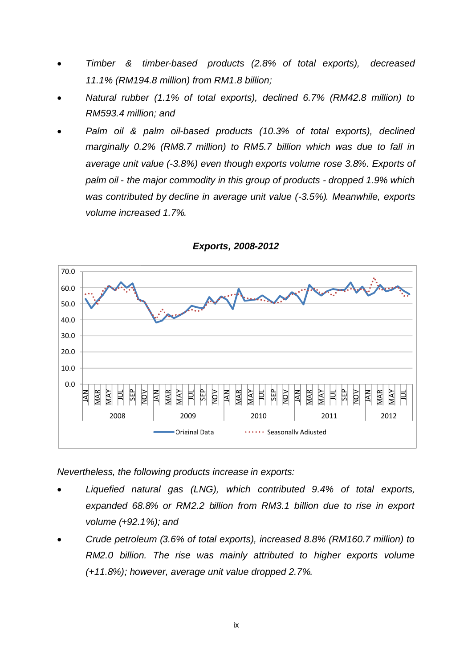- *Timber & timber-based products (2.8% of total exports), decreased 11.1% (RM194.8 million) from RM1.8 billion;*
- *Natural rubber (1.1% of total exports), declined 6.7% (RM42.8 million) to RM593.4 million; and*
- *Palm oil & palm oil-based products (10.3% of total exports), declined marginally 0.2% (RM8.7 million) to RM5.7 billion which was due to fall in average unit value (-3.8%) even though exports volume rose 3.8%. Exports of palm oil - the major commodity in this group of products - dropped 1.9% which was contributed by decline in average unit value (-3.5%). Meanwhile, exports volume increased 1.7%.*



*Exports, 2008-2012*

*Nevertheless, the following products increase in exports:*

- *Liquefied natural gas (LNG), which contributed 9.4% of total exports, expanded 68.8% or RM2.2 billion from RM3.1 billion due to rise in export volume (+92.1%); and*
- *Crude petroleum (3.6% of total exports), increased 8.8% (RM160.7 million) to RM2.0 billion. The rise was mainly attributed to higher exports volume (+11.8%); however, average unit value dropped 2.7%.*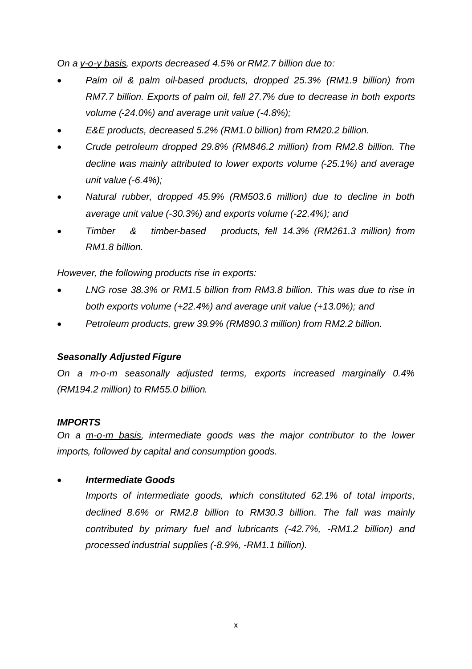*On a y-o-y basis, exports decreased 4.5% or RM2.7 billion due to:*

- *Palm oil & palm oil-based products, dropped 25.3% (RM1.9 billion) from RM7.7 billion. Exports of palm oil, fell 27.7% due to decrease in both exports volume (-24.0%) and average unit value (-4.8%);*
- *E&E products, decreased 5.2% (RM1.0 billion) from RM20.2 billion.*
- *Crude petroleum dropped 29.8% (RM846.2 million) from RM2.8 billion. The decline was mainly attributed to lower exports volume (-25.1%) and average unit value (-6.4%);*
- *Natural rubber, dropped 45.9% (RM503.6 million) due to decline in both average unit value (-30.3%) and exports volume (-22.4%); and*
- *Timber & timber-based products, fell 14.3% (RM261.3 million) from RM1.8 billion.*

*However, the following products rise in exports:*

- *LNG rose 38.3% or RM1.5 billion from RM3.8 billion. This was due to rise in both exports volume (+22.4%) and average unit value (+13.0%); and*
- *Petroleum products, grew 39.9% (RM890.3 million) from RM2.2 billion.*

# *Seasonally Adjusted Figure*

*On a m-o-m seasonally adjusted terms, exports increased marginally 0.4% (RM194.2 million) to RM55.0 billion.*

#### *IMPORTS*

*On a m-o-m basis, intermediate goods was the major contributor to the lower imports, followed by capital and consumption goods.*

#### *Intermediate Goods*

*Imports of intermediate goods, which constituted 62.1% of total imports, declined 8.6% or RM2.8 billion to RM30.3 billion. The fall was mainly contributed by primary fuel and lubricants (-42.7%, -RM1.2 billion) and processed industrial supplies (-8.9%, -RM1.1 billion).*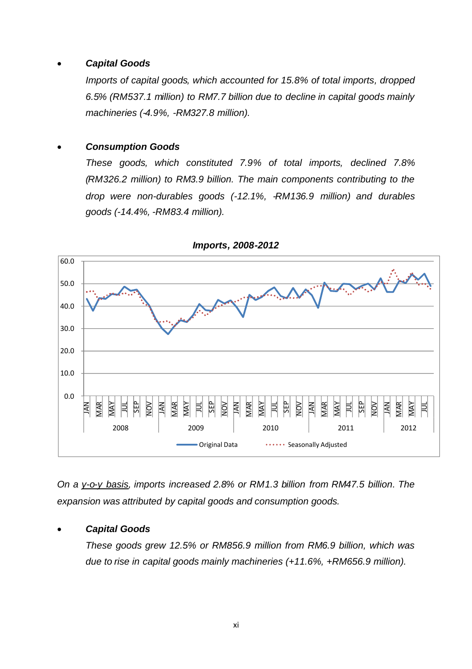## *Capital Goods*

*Imports of capital goods, which accounted for 15.8% of total imports, dropped 6.5% (RM537.1 million) to RM7.7 billion due to decline in capital goods mainly machineries (-4.9%, -RM327.8 million).*

## *Consumption Goods*

*These goods, which constituted 7.9% of total imports, declined 7.8% (RM326.2 million) to RM3.9 billion. The main components contributing to the drop were non-durables goods (-12.1%, -RM136.9 million) and durables goods (-14.4%, -RM83.4 million).*



*Imports, 2008-2012*

*On a y-o-y basis, imports increased 2.8% or RM1.3 billion from RM47.5 billion. The expansion was attributed by capital goods and consumption goods.*

# *Capital Goods*

*These goods grew 12.5% or RM856.9 million from RM6.9 billion, which was due to rise in capital goods mainly machineries (+11.6%, +RM656.9 million).*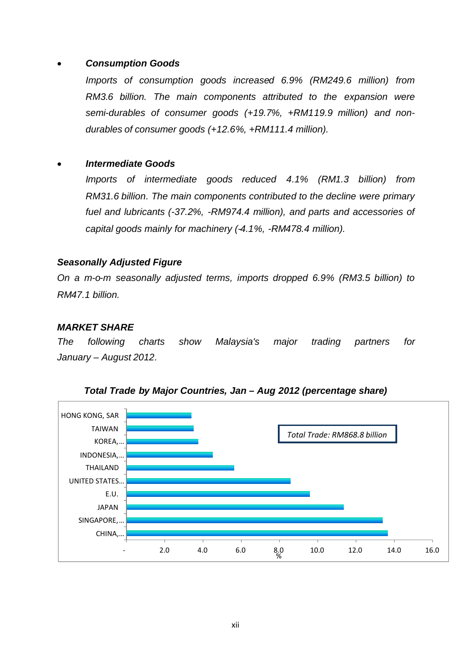## *Consumption Goods*

*Imports of consumption goods increased 6.9% (RM249.6 million) from RM3.6 billion. The main components attributed to the expansion were semi-durables of consumer goods (+19.7%, +RM119.9 million) and nondurables of consumer goods (+12.6%, +RM111.4 million).*

## *Intermediate Goods*

*Imports of intermediate goods reduced 4.1% (RM1.3 billion) from RM31.6 billion. The main components contributed to the decline were primary fuel and lubricants (-37.2%, -RM974.4 million), and parts and accessories of capital goods mainly for machinery (-4.1%, -RM478.4 million).*

## *Seasonally Adjusted Figure*

*On a m-o-m seasonally adjusted terms, imports dropped 6.9% (RM3.5 billion) to RM47.1 billion.*

## *MARKET SHARE*

*The following charts show Malaysia's major trading partners for January – August 2012.*



*Total Trade by Major Countries, Jan – Aug 2012 (percentage share)*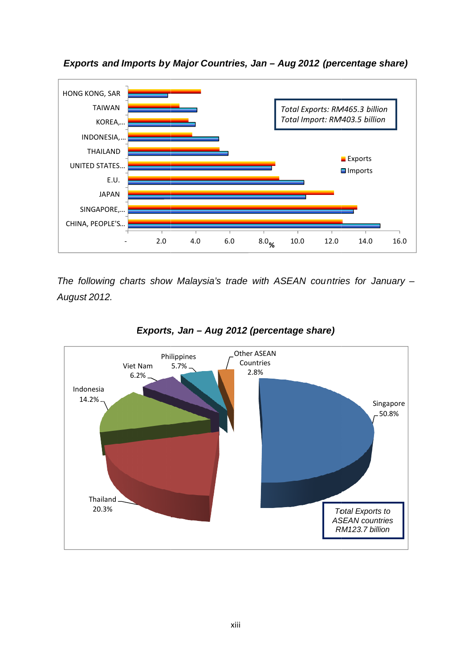

*Exports and Imports by y Major Countries, Jan – Aug 2012 (percentage share percentage share)*

*The following charts show Malaysia's trade with ASEAN countries for January -August 2012.*



## *Exports, Jan – Aug 2012 (percentage share)*